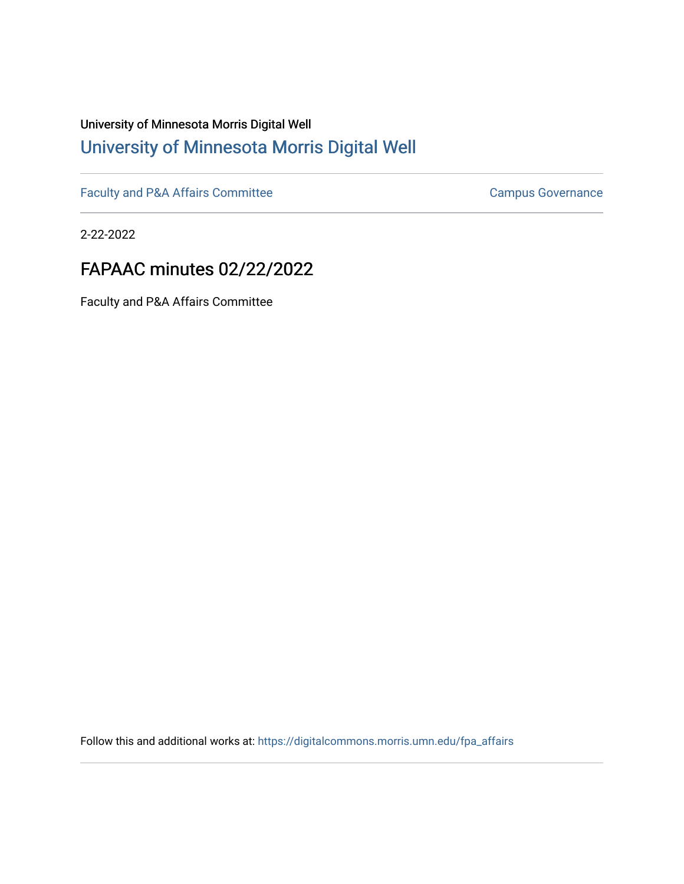## University of Minnesota Morris Digital Well [University of Minnesota Morris Digital Well](https://digitalcommons.morris.umn.edu/)

[Faculty and P&A Affairs Committee](https://digitalcommons.morris.umn.edu/fpa_affairs) [Campus Governance](https://digitalcommons.morris.umn.edu/campgov) Campus Governance

2-22-2022

# FAPAAC minutes 02/22/2022

Faculty and P&A Affairs Committee

Follow this and additional works at: [https://digitalcommons.morris.umn.edu/fpa\\_affairs](https://digitalcommons.morris.umn.edu/fpa_affairs?utm_source=digitalcommons.morris.umn.edu%2Ffpa_affairs%2F199&utm_medium=PDF&utm_campaign=PDFCoverPages)